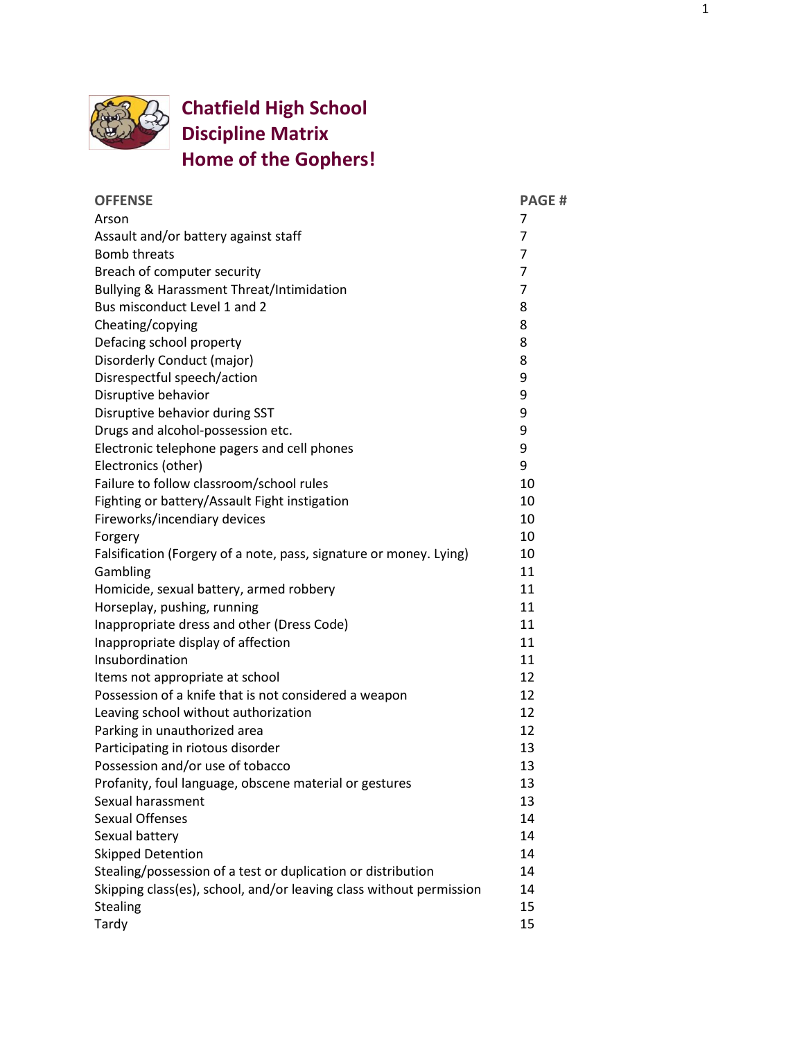

## **Chatfield High School Discipline Matrix Home of the Gophers!**

| <b>OFFENSE</b>                                                      | <b>PAGE#</b> |
|---------------------------------------------------------------------|--------------|
| Arson                                                               | 7            |
| Assault and/or battery against staff                                | 7            |
| <b>Bomb threats</b>                                                 | 7            |
| Breach of computer security                                         | 7            |
| Bullying & Harassment Threat/Intimidation                           | 7            |
| Bus misconduct Level 1 and 2                                        | 8            |
| Cheating/copying                                                    | 8            |
| Defacing school property                                            | 8            |
| Disorderly Conduct (major)                                          | 8            |
| Disrespectful speech/action                                         | 9            |
| Disruptive behavior                                                 | 9            |
| Disruptive behavior during SST                                      | 9            |
| Drugs and alcohol-possession etc.                                   | 9            |
| Electronic telephone pagers and cell phones                         | 9            |
| Electronics (other)                                                 | 9            |
| Failure to follow classroom/school rules                            | 10           |
| Fighting or battery/Assault Fight instigation                       | 10           |
| Fireworks/incendiary devices                                        | 10           |
| Forgery                                                             | 10           |
| Falsification (Forgery of a note, pass, signature or money. Lying)  | 10           |
| Gambling                                                            | 11           |
| Homicide, sexual battery, armed robbery                             | 11           |
| Horseplay, pushing, running                                         | 11           |
| Inappropriate dress and other (Dress Code)                          | 11           |
| Inappropriate display of affection                                  | 11           |
| Insubordination                                                     | 11           |
| Items not appropriate at school                                     | 12           |
| Possession of a knife that is not considered a weapon               | 12           |
| Leaving school without authorization                                | 12           |
| Parking in unauthorized area                                        | 12           |
| Participating in riotous disorder                                   | 13           |
| Possession and/or use of tobacco                                    | 13           |
| Profanity, foul language, obscene material or gestures              | 13           |
| Sexual harassment                                                   | 13           |
| <b>Sexual Offenses</b>                                              | 14           |
| Sexual battery                                                      | 14           |
| <b>Skipped Detention</b>                                            | 14           |
| Stealing/possession of a test or duplication or distribution        | 14           |
| Skipping class(es), school, and/or leaving class without permission | 14           |
| Stealing                                                            | 15           |
| Tardy                                                               | 15           |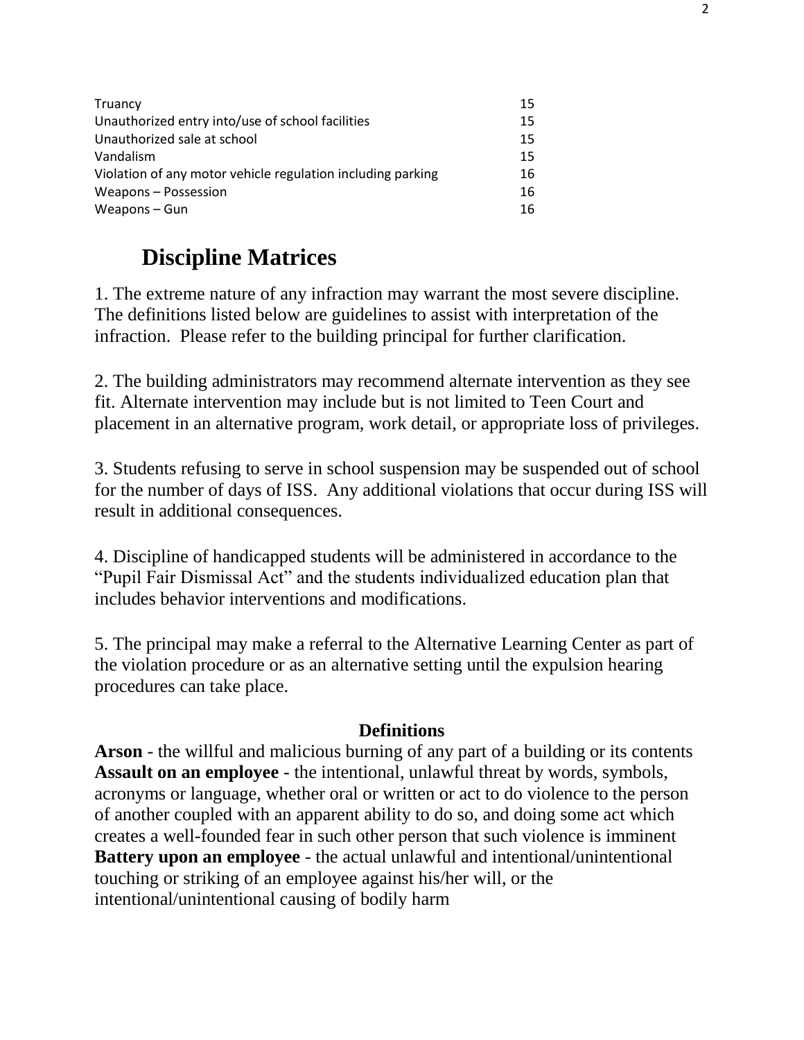| Truancy                                                     | 15 |
|-------------------------------------------------------------|----|
| Unauthorized entry into/use of school facilities            | 15 |
| Unauthorized sale at school                                 | 15 |
| Vandalism                                                   | 15 |
| Violation of any motor vehicle regulation including parking | 16 |
| Weapons - Possession                                        | 16 |
| Weapons - Gun                                               | 16 |

# **Discipline Matrices**

1. The extreme nature of any infraction may warrant the most severe discipline. The definitions listed below are guidelines to assist with interpretation of the infraction. Please refer to the building principal for further clarification.

2. The building administrators may recommend alternate intervention as they see fit. Alternate intervention may include but is not limited to Teen Court and placement in an alternative program, work detail, or appropriate loss of privileges.

3. Students refusing to serve in school suspension may be suspended out of school for the number of days of ISS. Any additional violations that occur during ISS will result in additional consequences.

4. Discipline of handicapped students will be administered in accordance to the "Pupil Fair Dismissal Act" and the students individualized education plan that includes behavior interventions and modifications.

5. The principal may make a referral to the Alternative Learning Center as part of the violation procedure or as an alternative setting until the expulsion hearing procedures can take place.

#### **Definitions**

**Arson** - the willful and malicious burning of any part of a building or its contents **Assault on an employee** - the intentional, unlawful threat by words, symbols, acronyms or language, whether oral or written or act to do violence to the person of another coupled with an apparent ability to do so, and doing some act which creates a well-founded fear in such other person that such violence is imminent **Battery upon an employee** - the actual unlawful and intentional/unintentional touching or striking of an employee against his/her will, or the intentional/unintentional causing of bodily harm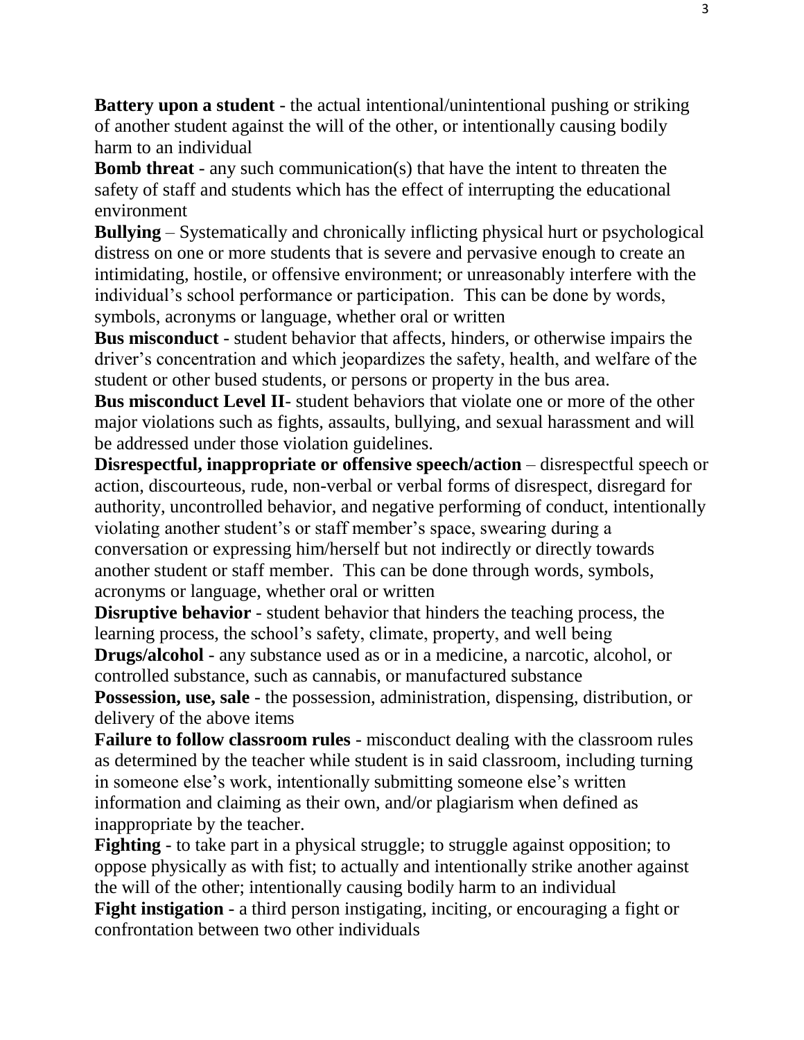**Battery upon a student** - the actual intentional/unintentional pushing or striking of another student against the will of the other, or intentionally causing bodily harm to an individual

**Bomb threat** - any such communication(s) that have the intent to threaten the safety of staff and students which has the effect of interrupting the educational environment

**Bullying** – Systematically and chronically inflicting physical hurt or psychological distress on one or more students that is severe and pervasive enough to create an intimidating, hostile, or offensive environment; or unreasonably interfere with the individual's school performance or participation. This can be done by words, symbols, acronyms or language, whether oral or written

**Bus misconduct** - student behavior that affects, hinders, or otherwise impairs the driver's concentration and which jeopardizes the safety, health, and welfare of the student or other bused students, or persons or property in the bus area.

**Bus misconduct Level II**- student behaviors that violate one or more of the other major violations such as fights, assaults, bullying, and sexual harassment and will be addressed under those violation guidelines.

**Disrespectful, inappropriate or offensive speech/action** – disrespectful speech or action, discourteous, rude, non-verbal or verbal forms of disrespect, disregard for authority, uncontrolled behavior, and negative performing of conduct, intentionally violating another student's or staff member's space, swearing during a conversation or expressing him/herself but not indirectly or directly towards another student or staff member. This can be done through words, symbols, acronyms or language, whether oral or written

**Disruptive behavior** - student behavior that hinders the teaching process, the learning process, the school's safety, climate, property, and well being

**Drugs/alcohol** - any substance used as or in a medicine, a narcotic, alcohol, or controlled substance, such as cannabis, or manufactured substance

**Possession, use, sale** - the possession, administration, dispensing, distribution, or delivery of the above items

**Failure to follow classroom rules** - misconduct dealing with the classroom rules as determined by the teacher while student is in said classroom, including turning in someone else's work, intentionally submitting someone else's written information and claiming as their own, and/or plagiarism when defined as inappropriate by the teacher.

**Fighting** - to take part in a physical struggle; to struggle against opposition; to oppose physically as with fist; to actually and intentionally strike another against the will of the other; intentionally causing bodily harm to an individual **Fight instigation** - a third person instigating, inciting, or encouraging a fight or confrontation between two other individuals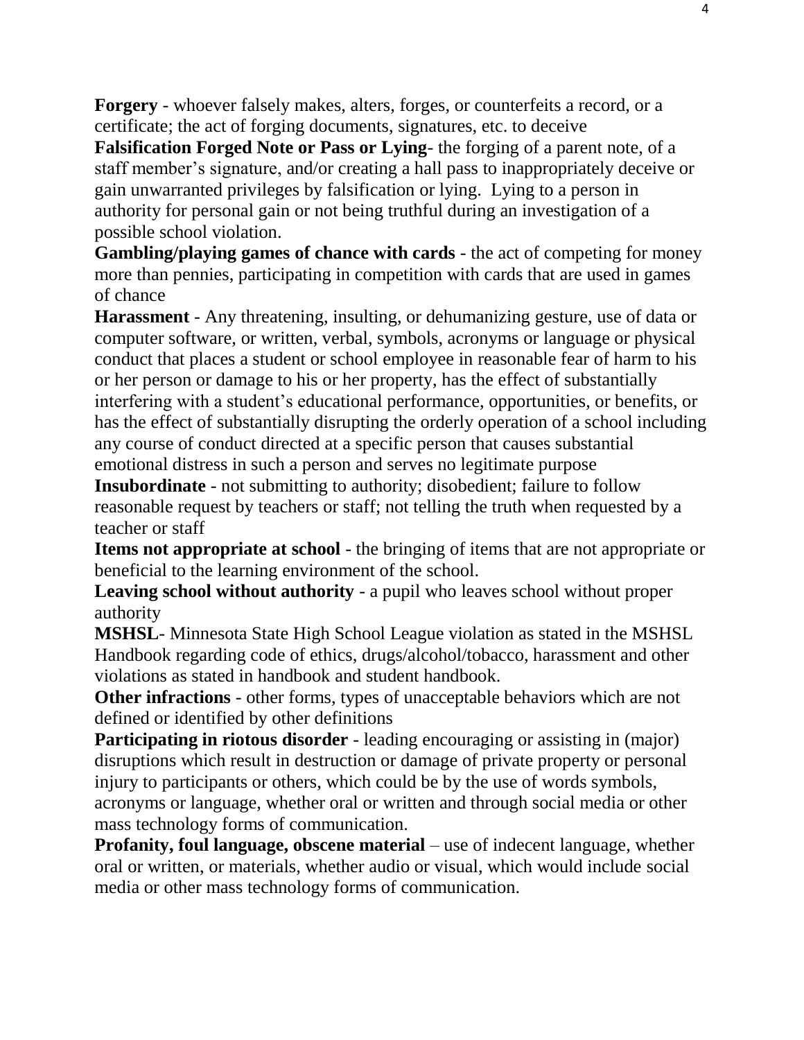**Forgery** - whoever falsely makes, alters, forges, or counterfeits a record, or a certificate; the act of forging documents, signatures, etc. to deceive

**Falsification Forged Note or Pass or Lying**- the forging of a parent note, of a staff member's signature, and/or creating a hall pass to inappropriately deceive or gain unwarranted privileges by falsification or lying. Lying to a person in authority for personal gain or not being truthful during an investigation of a possible school violation.

**Gambling/playing games of chance with cards** - the act of competing for money more than pennies, participating in competition with cards that are used in games of chance

**Harassment** - Any threatening, insulting, or dehumanizing gesture, use of data or computer software, or written, verbal, symbols, acronyms or language or physical conduct that places a student or school employee in reasonable fear of harm to his or her person or damage to his or her property, has the effect of substantially interfering with a student's educational performance, opportunities, or benefits, or has the effect of substantially disrupting the orderly operation of a school including any course of conduct directed at a specific person that causes substantial emotional distress in such a person and serves no legitimate purpose

**Insubordinate** - not submitting to authority; disobedient; failure to follow reasonable request by teachers or staff; not telling the truth when requested by a teacher or staff

**Items not appropriate at school** - the bringing of items that are not appropriate or beneficial to the learning environment of the school.

**Leaving school without authority** - a pupil who leaves school without proper authority

**MSHSL**- Minnesota State High School League violation as stated in the MSHSL Handbook regarding code of ethics, drugs/alcohol/tobacco, harassment and other violations as stated in handbook and student handbook.

**Other infractions** - other forms, types of unacceptable behaviors which are not defined or identified by other definitions

**Participating in riotous disorder** - leading encouraging or assisting in (major) disruptions which result in destruction or damage of private property or personal injury to participants or others, which could be by the use of words symbols, acronyms or language, whether oral or written and through social media or other mass technology forms of communication.

**Profanity, foul language, obscene material** – use of indecent language, whether oral or written, or materials, whether audio or visual, which would include social media or other mass technology forms of communication.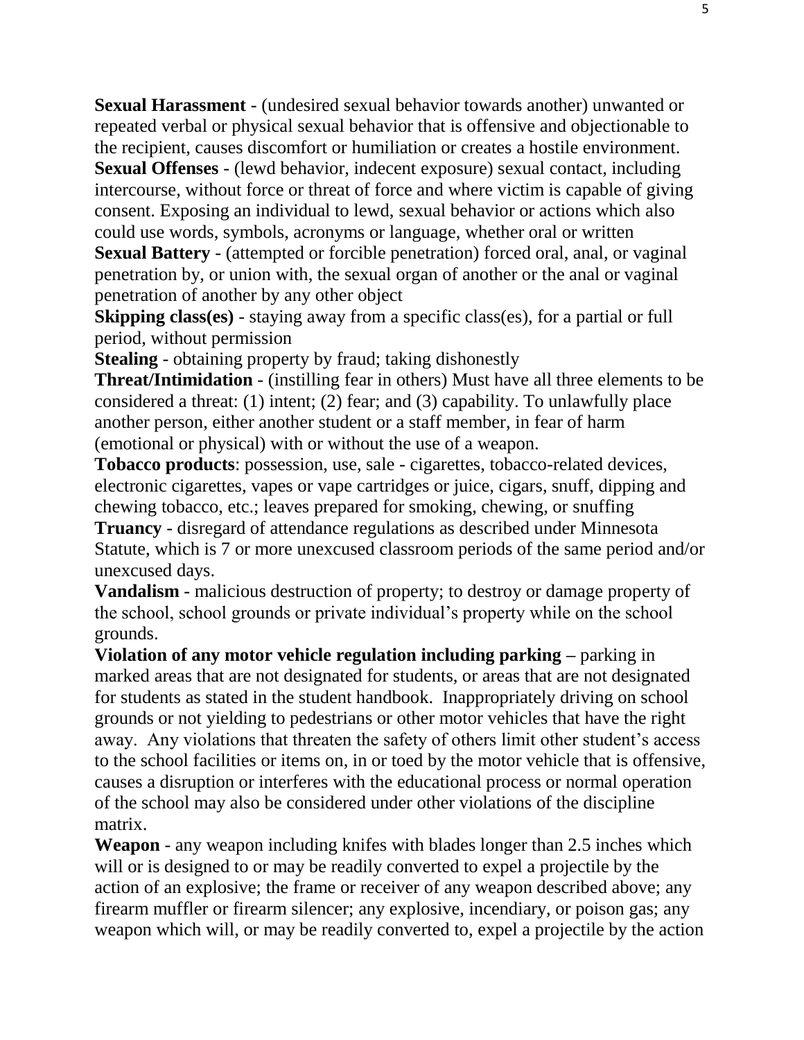**Sexual Harassment** - (undesired sexual behavior towards another) unwanted or repeated verbal or physical sexual behavior that is offensive and objectionable to the recipient, causes discomfort or humiliation or creates a hostile environment. **Sexual Offenses** - (lewd behavior, indecent exposure) sexual contact, including

intercourse, without force or threat of force and where victim is capable of giving consent. Exposing an individual to lewd, sexual behavior or actions which also could use words, symbols, acronyms or language, whether oral or written

**Sexual Battery** - (attempted or forcible penetration) forced oral, anal, or vaginal penetration by, or union with, the sexual organ of another or the anal or vaginal penetration of another by any other object

**Skipping class(es)** - staying away from a specific class(es), for a partial or full period, without permission

**Stealing** - obtaining property by fraud; taking dishonestly

**Threat/Intimidation** - (instilling fear in others) Must have all three elements to be considered a threat: (1) intent; (2) fear; and (3) capability. To unlawfully place another person, either another student or a staff member, in fear of harm (emotional or physical) with or without the use of a weapon.

**Tobacco products**: possession, use, sale - cigarettes, tobacco-related devices, electronic cigarettes, vapes or vape cartridges or juice, cigars, snuff, dipping and chewing tobacco, etc.; leaves prepared for smoking, chewing, or snuffing

**Truancy** - disregard of attendance regulations as described under Minnesota Statute, which is 7 or more unexcused classroom periods of the same period and/or unexcused days.

**Vandalism** - malicious destruction of property; to destroy or damage property of the school, school grounds or private individual's property while on the school grounds.

**Violation of any motor vehicle regulation including parking –** parking in marked areas that are not designated for students, or areas that are not designated for students as stated in the student handbook. Inappropriately driving on school grounds or not yielding to pedestrians or other motor vehicles that have the right away. Any violations that threaten the safety of others limit other student's access to the school facilities or items on, in or toed by the motor vehicle that is offensive, causes a disruption or interferes with the educational process or normal operation of the school may also be considered under other violations of the discipline matrix.

**Weapon** - any weapon including knifes with blades longer than 2.5 inches which will or is designed to or may be readily converted to expel a projectile by the action of an explosive; the frame or receiver of any weapon described above; any firearm muffler or firearm silencer; any explosive, incendiary, or poison gas; any weapon which will, or may be readily converted to, expel a projectile by the action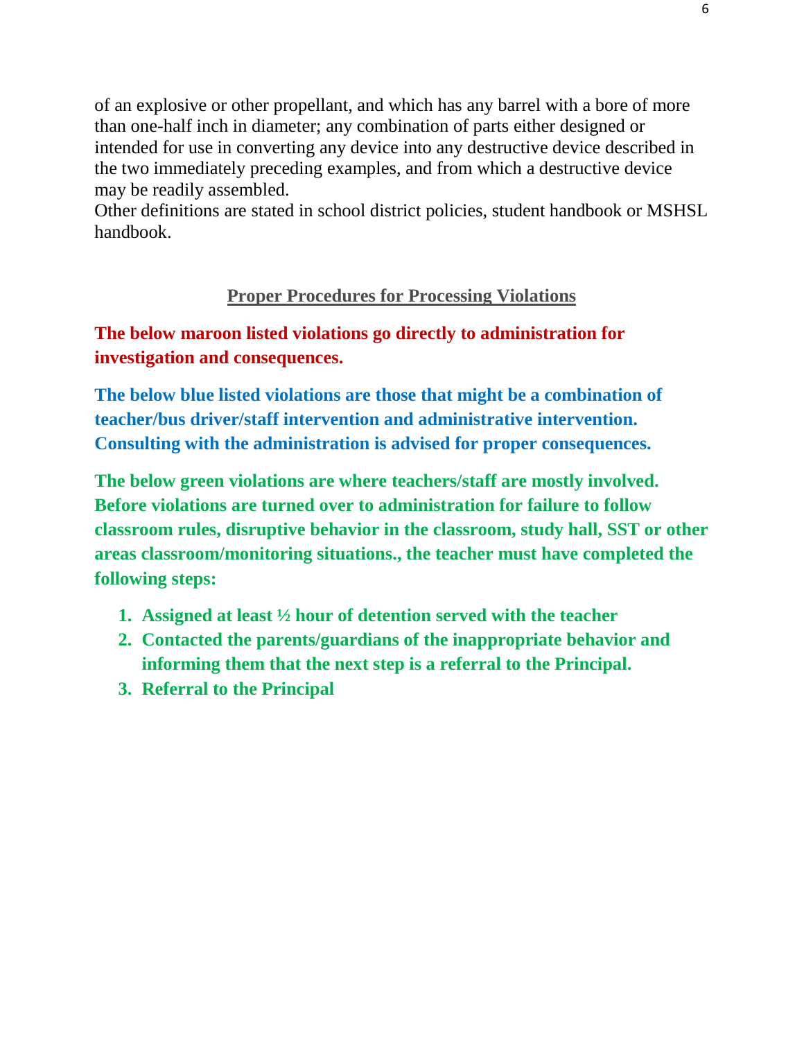of an explosive or other propellant, and which has any barrel with a bore of more than one-half inch in diameter; any combination of parts either designed or intended for use in converting any device into any destructive device described in the two immediately preceding examples, and from which a destructive device may be readily assembled.

Other definitions are stated in school district policies, student handbook or MSHSL handbook.

### **Proper Procedures for Processing Violations**

### **The below maroon listed violations go directly to administration for investigation and consequences.**

**The below blue listed violations are those that might be a combination of teacher/bus driver/staff intervention and administrative intervention. Consulting with the administration is advised for proper consequences.** 

**The below green violations are where teachers/staff are mostly involved. Before violations are turned over to administration for failure to follow classroom rules, disruptive behavior in the classroom, study hall, SST or other areas classroom/monitoring situations., the teacher must have completed the following steps:**

- **1. Assigned at least ½ hour of detention served with the teacher**
- **2. Contacted the parents/guardians of the inappropriate behavior and informing them that the next step is a referral to the Principal.**
- **3. Referral to the Principal**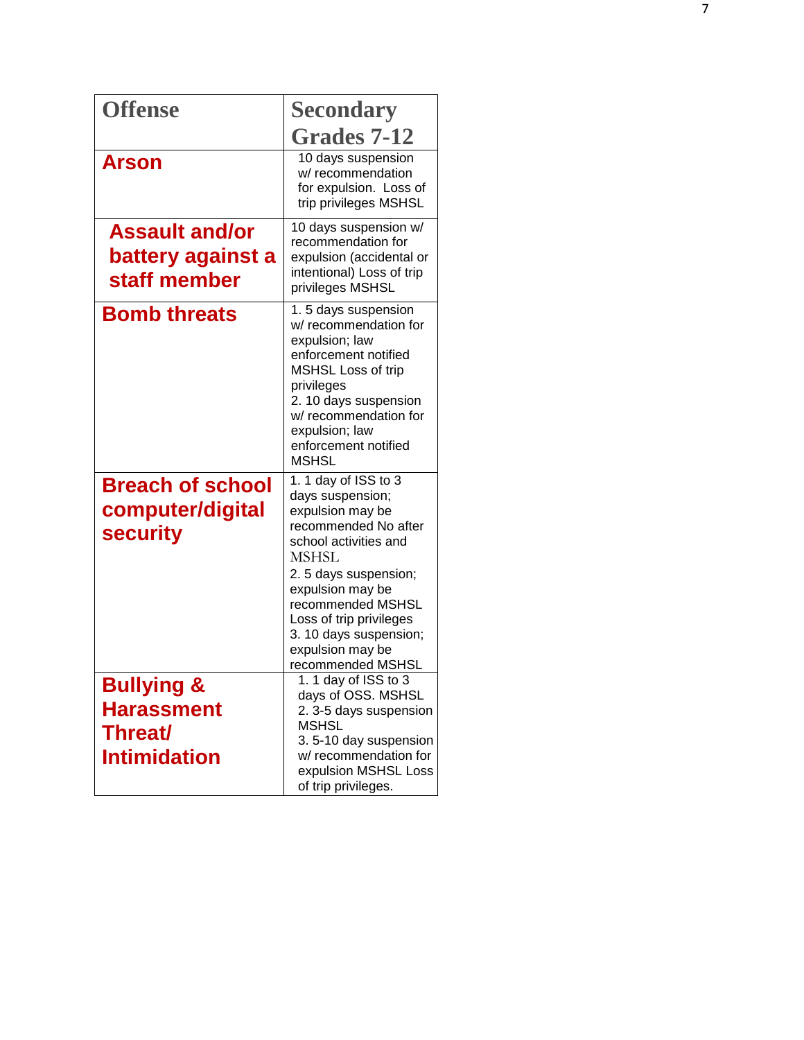| <b>Offense</b>                                                                      | <b>Secondary</b>                                                                                                                                                                                                                                                                              |
|-------------------------------------------------------------------------------------|-----------------------------------------------------------------------------------------------------------------------------------------------------------------------------------------------------------------------------------------------------------------------------------------------|
|                                                                                     | <b>Grades 7-12</b>                                                                                                                                                                                                                                                                            |
| <b>Arson</b>                                                                        | 10 days suspension<br>w/ recommendation<br>for expulsion. Loss of<br>trip privileges MSHSL                                                                                                                                                                                                    |
| <b>Assault and/or</b><br>battery against a<br>staff member                          | 10 days suspension w/<br>recommendation for<br>expulsion (accidental or<br>intentional) Loss of trip<br>privileges MSHSL                                                                                                                                                                      |
| <b>Bomb threats</b>                                                                 | 1.5 days suspension<br>w/ recommendation for<br>expulsion; law<br>enforcement notified<br>MSHSL Loss of trip<br>privileges<br>2. 10 days suspension<br>w/ recommendation for<br>expulsion; law<br>enforcement notified<br><b>MSHSL</b>                                                        |
| <b>Breach of school</b><br>computer/digital<br><b>security</b>                      | 1. 1 day of ISS to 3<br>days suspension;<br>expulsion may be<br>recommended No after<br>school activities and<br><b>MSHSL</b><br>2. 5 days suspension;<br>expulsion may be<br>recommended MSHSL<br>Loss of trip privileges<br>3. 10 days suspension;<br>expulsion may be<br>recommended MSHSL |
| <b>Bullying &amp;</b><br><b>Harassment</b><br><b>Threat/</b><br><b>Intimidation</b> | 1. 1 day of ISS to 3<br>days of OSS. MSHSL<br>2.3-5 days suspension<br><b>MSHSL</b><br>3.5-10 day suspension<br>w/ recommendation for<br>expulsion MSHSL Loss<br>of trip privileges.                                                                                                          |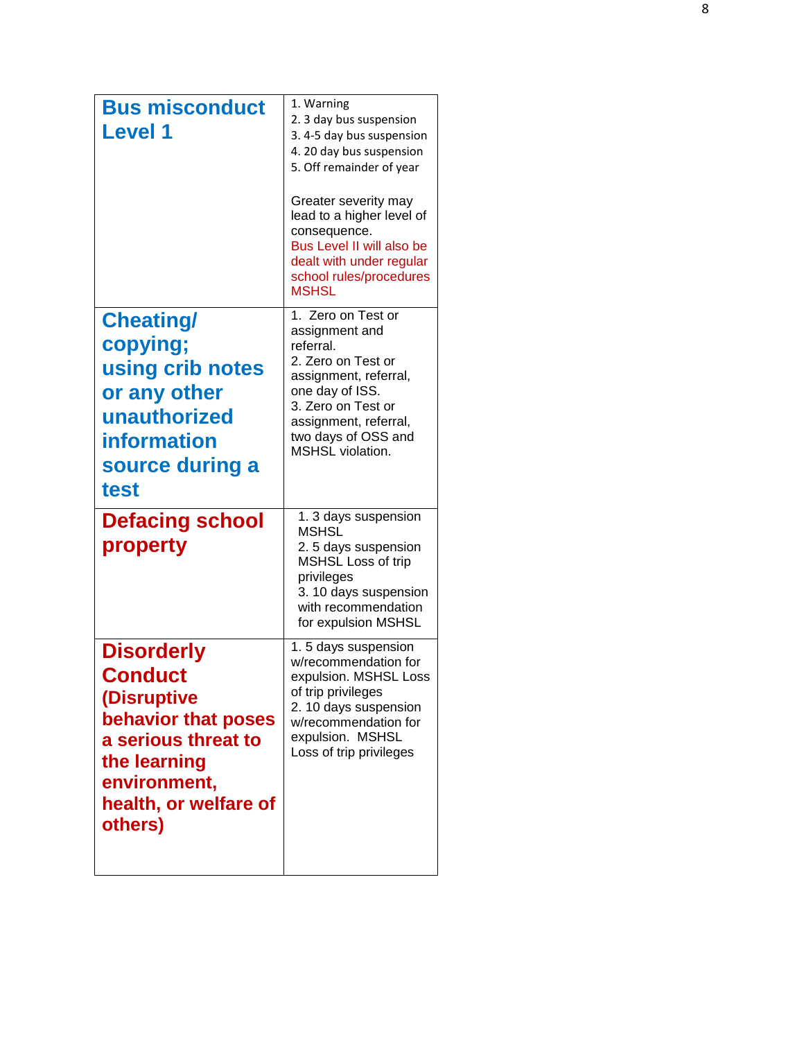| <b>Bus misconduct</b><br><b>Level 1</b>                                                                                                                              | 1. Warning<br>2. 3 day bus suspension<br>3.4-5 day bus suspension<br>4. 20 day bus suspension<br>5. Off remainder of year<br>Greater severity may<br>lead to a higher level of<br>consequence.<br>Bus Level II will also be<br>dealt with under regular<br>school rules/procedures<br><b>MSHSL</b> |
|----------------------------------------------------------------------------------------------------------------------------------------------------------------------|----------------------------------------------------------------------------------------------------------------------------------------------------------------------------------------------------------------------------------------------------------------------------------------------------|
| <b>Cheating/</b><br>copying;<br>using crib notes<br>or any other<br>unauthorized<br><b>information</b><br>source during a<br>test                                    | 1. Zero on Test or<br>assignment and<br>referral.<br>2. Zero on Test or<br>assignment, referral,<br>one day of ISS.<br>3. Zero on Test or<br>assignment, referral,<br>two days of OSS and<br>MSHSL violation.                                                                                      |
| <b>Defacing school</b><br>property                                                                                                                                   | 1. 3 days suspension<br><b>MSHSL</b><br>2.5 days suspension<br>MSHSL Loss of trip<br>privileges<br>3. 10 days suspension<br>with recommendation<br>for expulsion MSHSL                                                                                                                             |
| <b>Disorderly</b><br><b>Conduct</b><br>(Disruptive<br>behavior that poses<br>a serious threat to<br>the learning<br>environment,<br>health, or welfare of<br>others) | 1.5 days suspension<br>w/recommendation for<br>expulsion. MSHSL Loss<br>of trip privileges<br>2. 10 days suspension<br>w/recommendation for<br>expulsion. MSHSL<br>Loss of trip privileges                                                                                                         |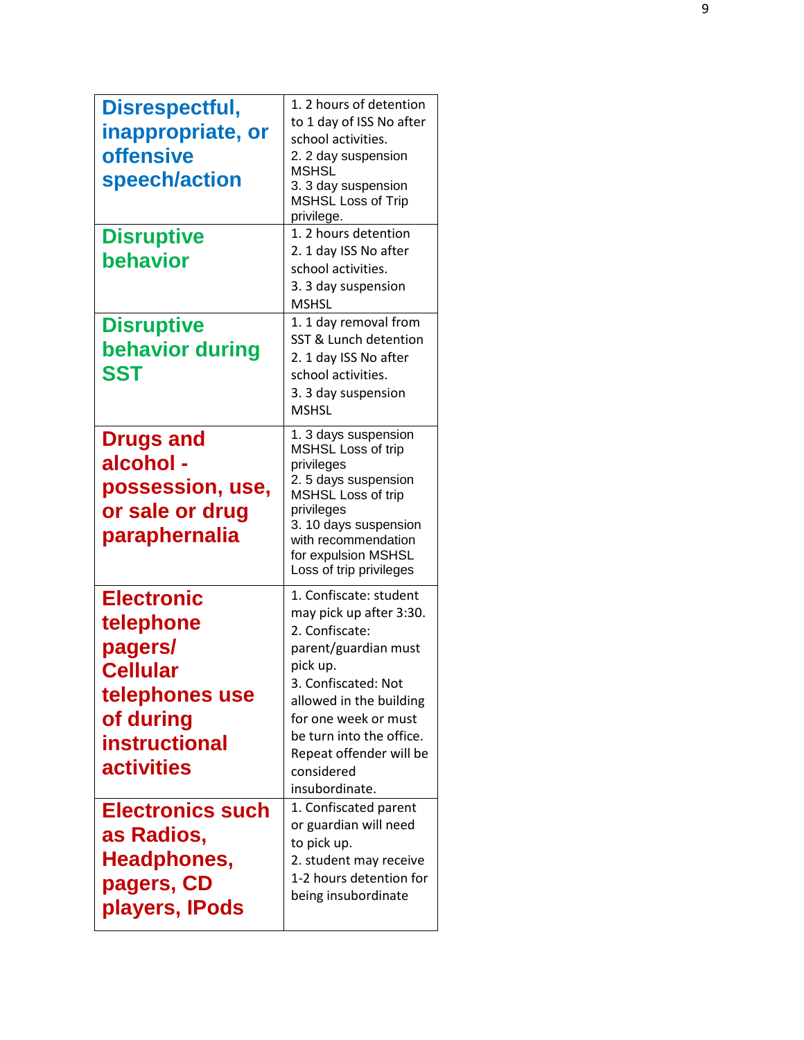| Disrespectful,<br>inappropriate, or<br><b>offensive</b><br>speech/action<br><b>Disruptive</b><br>behavior                         | 1. 2 hours of detention<br>to 1 day of ISS No after<br>school activities.<br>2. 2 day suspension<br><b>MSHSL</b><br>3. 3 day suspension<br><b>MSHSL Loss of Trip</b><br>privilege.<br>1. 2 hours detention<br>2. 1 day ISS No after<br>school activities.<br>3. 3 day suspension<br><b>MSHSL</b> |
|-----------------------------------------------------------------------------------------------------------------------------------|--------------------------------------------------------------------------------------------------------------------------------------------------------------------------------------------------------------------------------------------------------------------------------------------------|
| <b>Disruptive</b><br>behavior during<br><b>SST</b>                                                                                | 1. 1 day removal from<br>SST & Lunch detention<br>2. 1 day ISS No after<br>school activities.<br>3. 3 day suspension<br><b>MSHSL</b>                                                                                                                                                             |
| <b>Drugs and</b><br>alcohol -<br>possession, use,<br>or sale or drug<br>paraphernalia                                             | 1. 3 days suspension<br><b>MSHSL Loss of trip</b><br>privileges<br>2.5 days suspension<br>MSHSL Loss of trip<br>privileges<br>3. 10 days suspension<br>with recommendation<br>for expulsion MSHSL<br>Loss of trip privileges                                                                     |
| <b>Electronic</b><br>telephone<br>pagers/<br><b>Cellular</b><br>telephones use<br>of during<br>instructional<br><b>activities</b> | 1. Confiscate: student<br>may pick up after 3:30.<br>2. Confiscate:<br>parent/guardian must<br>pick up.<br>3. Confiscated: Not<br>allowed in the building<br>for one week or must<br>be turn into the office.<br>Repeat offender will be<br>considered<br>insubordinate.                         |
| <b>Electronics such</b><br>as Radios,<br>Headphones,<br>pagers, CD<br>players, IPods                                              | 1. Confiscated parent<br>or guardian will need<br>to pick up.<br>2. student may receive<br>1-2 hours detention for<br>being insubordinate                                                                                                                                                        |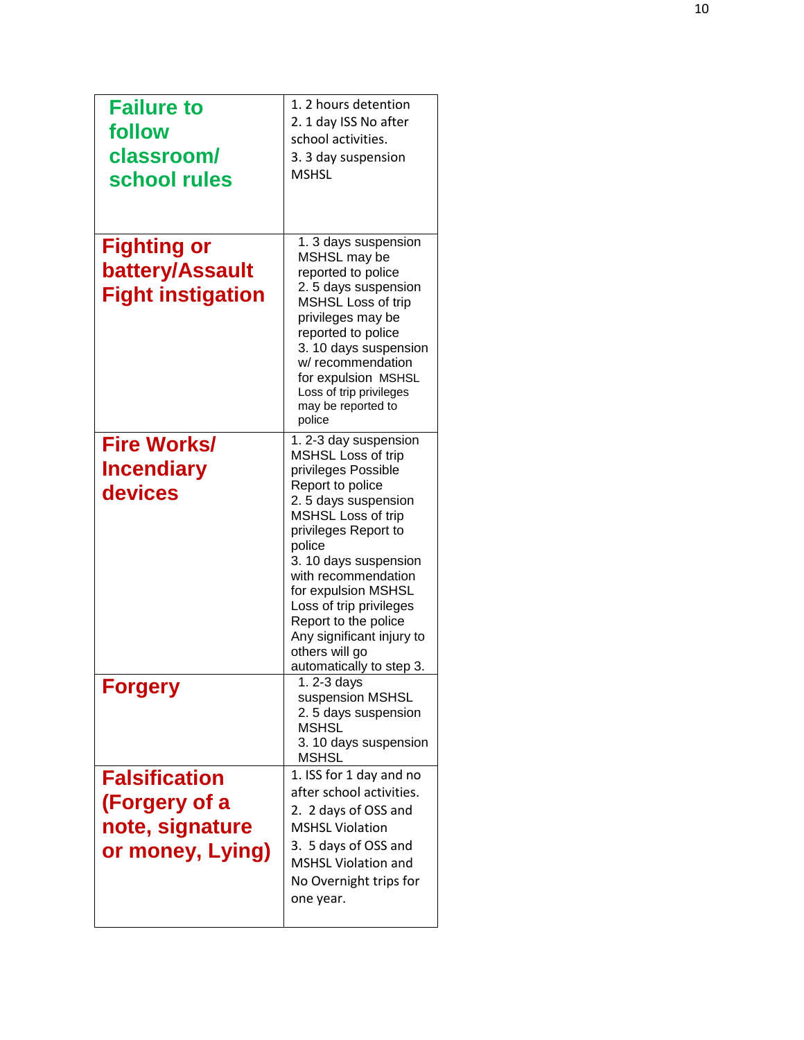| <b>Failure to</b><br>follow<br>classroom/<br>school rules                    | 1. 2 hours detention<br>2. 1 day ISS No after<br>school activities.<br>3. 3 day suspension<br><b>MSHSL</b>                                                                                                                                                                                                                                                                |
|------------------------------------------------------------------------------|---------------------------------------------------------------------------------------------------------------------------------------------------------------------------------------------------------------------------------------------------------------------------------------------------------------------------------------------------------------------------|
| <b>Fighting or</b><br>battery/Assault<br><b>Fight instigation</b>            | 1. 3 days suspension<br>MSHSL may be<br>reported to police<br>2.5 days suspension<br>MSHSL Loss of trip<br>privileges may be<br>reported to police<br>3. 10 days suspension<br>w/ recommendation<br>for expulsion MSHSL<br>Loss of trip privileges<br>may be reported to<br>police                                                                                        |
| <b>Fire Works/</b><br><b>Incendiary</b><br>devices                           | 1.2-3 day suspension<br>MSHSL Loss of trip<br>privileges Possible<br>Report to police<br>2.5 days suspension<br>MSHSL Loss of trip<br>privileges Report to<br>police<br>3. 10 days suspension<br>with recommendation<br>for expulsion MSHSL<br>Loss of trip privileges<br>Report to the police<br>Any significant injury to<br>others will go<br>automatically to step 3. |
| <b>Forgery</b>                                                               | 1.2-3 days<br>suspension MSHSL<br>2.5 days suspension<br><b>MSHSL</b><br>3. 10 days suspension<br>MSHSL                                                                                                                                                                                                                                                                   |
| <b>Falsification</b><br>(Forgery of a<br>note, signature<br>or money, Lying) | 1. ISS for 1 day and no<br>after school activities.<br>2. 2 days of OSS and<br><b>MSHSL Violation</b><br>3. 5 days of OSS and<br><b>MSHSL Violation and</b><br>No Overnight trips for<br>one year.                                                                                                                                                                        |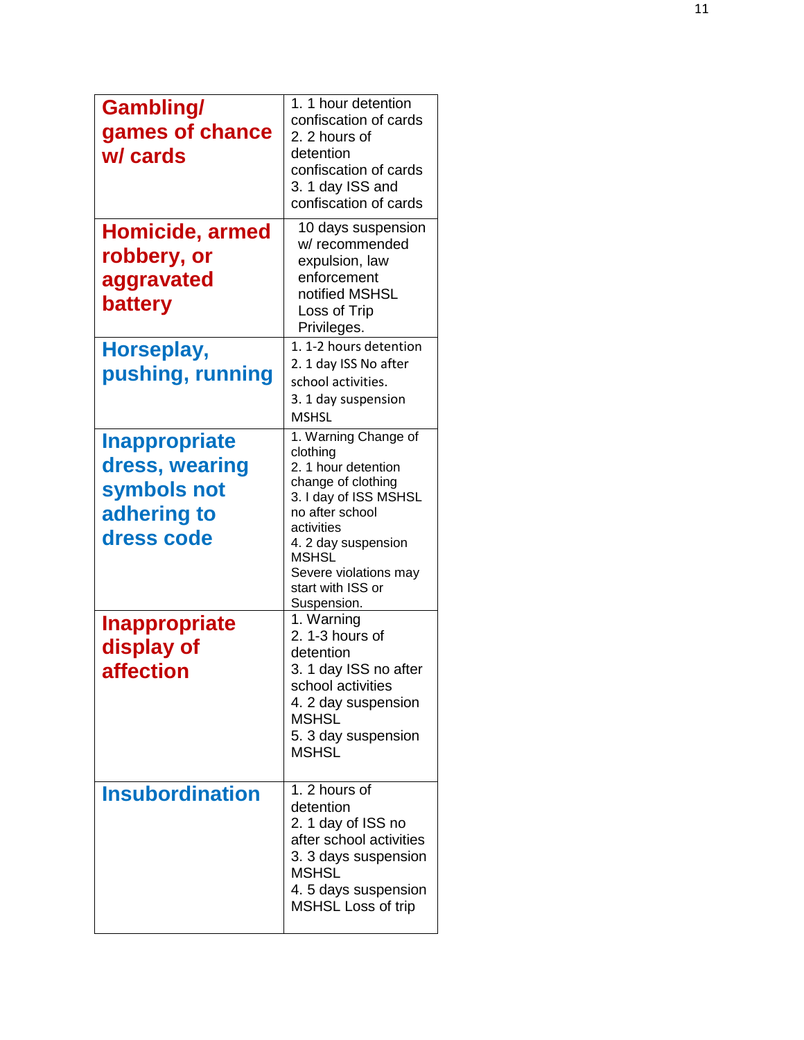| <b>Gambling/</b><br>games of chance<br>w/ cards                                    | 1. 1 hour detention<br>confiscation of cards<br>2. 2 hours of<br>detention<br>confiscation of cards<br>3. 1 day ISS and<br>confiscation of cards                                                                                            |
|------------------------------------------------------------------------------------|---------------------------------------------------------------------------------------------------------------------------------------------------------------------------------------------------------------------------------------------|
| Homicide, armed<br>robbery, or<br>aggravated<br>battery                            | 10 days suspension<br>w/ recommended<br>expulsion, law<br>enforcement<br>notified MSHSL<br>Loss of Trip<br>Privileges.<br>1. 1-2 hours detention                                                                                            |
| Horseplay,<br>pushing, running                                                     | 2. 1 day ISS No after<br>school activities.<br>3. 1 day suspension<br><b>MSHSL</b>                                                                                                                                                          |
| <b>Inappropriate</b><br>dress, wearing<br>symbols not<br>adhering to<br>dress code | 1. Warning Change of<br>clothing<br>2. 1 hour detention<br>change of clothing<br>3. I day of ISS MSHSL<br>no after school<br>activities<br>4. 2 day suspension<br><b>MSHSL</b><br>Severe violations may<br>start with ISS or<br>Suspension. |
| <b>Inappropriate</b><br>display of<br><i><b>affection</b></i>                      | 1. Warning<br>2. 1-3 hours of<br>detention<br>3. 1 day ISS no after<br>school activities<br>4. 2 day suspension<br><b>MSHSL</b><br>5. 3 day suspension<br><b>MSHSL</b>                                                                      |
| <b>Insubordination</b>                                                             | 1. 2 hours of<br>detention<br>2. 1 day of ISS no<br>after school activities<br>3. 3 days suspension<br><b>MSHSL</b><br>4.5 days suspension<br><b>MSHSL Loss of trip</b>                                                                     |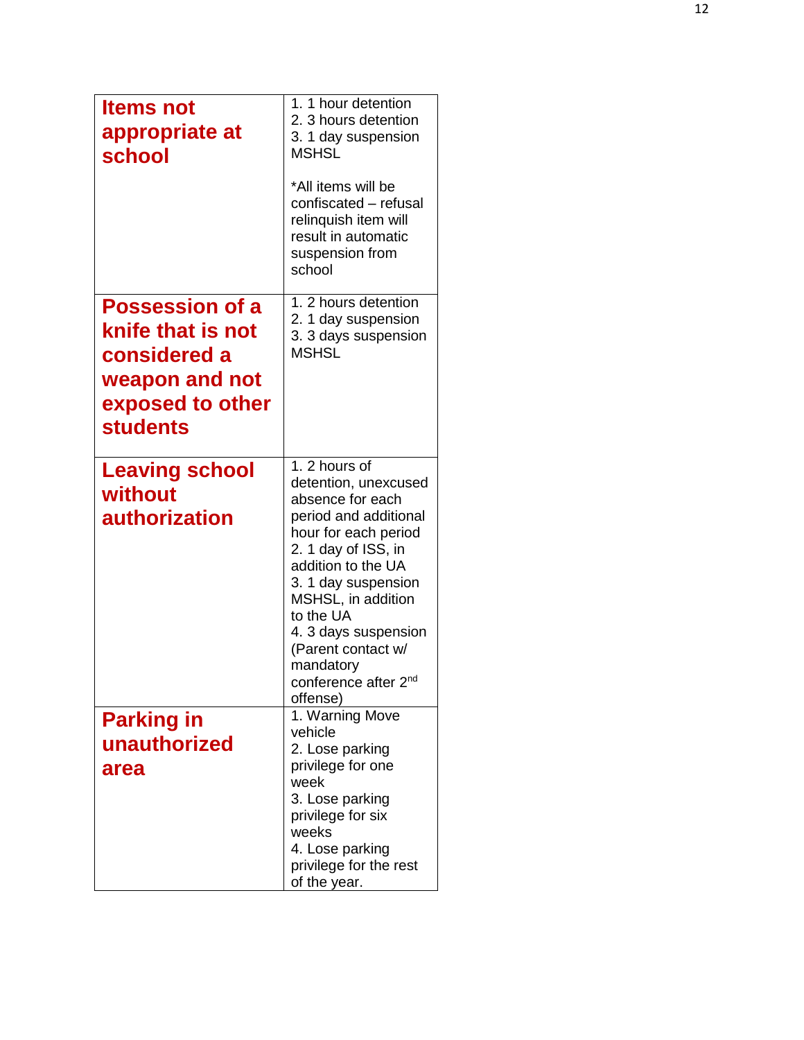| <b>Items not</b><br>appropriate at<br>school                                                                         | 1. 1 hour detention<br>2. 3 hours detention<br>3. 1 day suspension<br><b>MSHSL</b><br>*All items will be<br>confiscated - refusal<br>relinquish item will<br>result in automatic<br>suspension from<br>school                                                                                                                |
|----------------------------------------------------------------------------------------------------------------------|------------------------------------------------------------------------------------------------------------------------------------------------------------------------------------------------------------------------------------------------------------------------------------------------------------------------------|
| <b>Possession of a</b><br>knife that is not<br>considered a<br>weapon and not<br>exposed to other<br><b>students</b> | 1. 2 hours detention<br>2. 1 day suspension<br>3. 3 days suspension<br><b>MSHSL</b>                                                                                                                                                                                                                                          |
| <b>Leaving school</b><br>without<br>authorization                                                                    | 1. 2 hours of<br>detention, unexcused<br>absence for each<br>period and additional<br>hour for each period<br>2. 1 day of ISS, in<br>addition to the UA<br>3. 1 day suspension<br>MSHSL, in addition<br>to the UA<br>4. 3 days suspension<br>(Parent contact w/<br>mandatory<br>conference after 2 <sup>nd</sup><br>offense) |
| <b>Parking in</b><br>unauthorized<br>area                                                                            | 1. Warning Move<br>vehicle<br>2. Lose parking<br>privilege for one<br>week<br>3. Lose parking<br>privilege for six<br>weeks<br>4. Lose parking<br>privilege for the rest<br>of the year.                                                                                                                                     |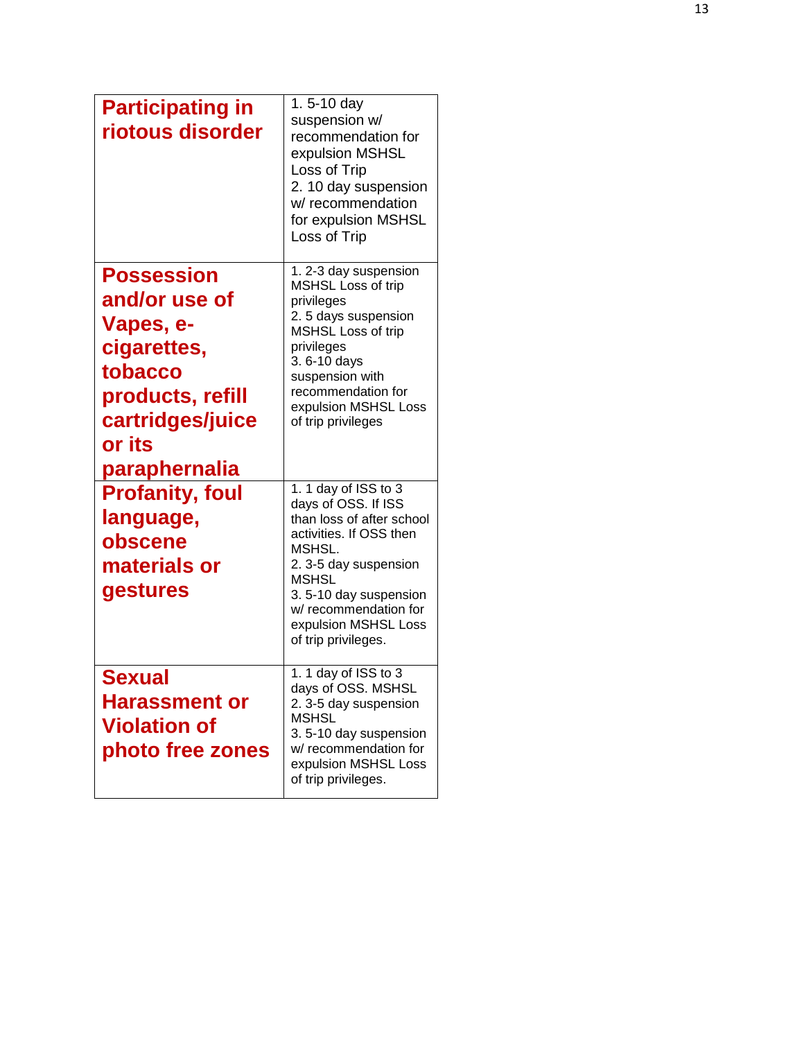| <b>Participating in</b><br>riotous disorder                                                                                 | 1.5-10 day<br>suspension w/<br>recommendation for<br>expulsion MSHSL<br>Loss of Trip<br>2. 10 day suspension<br>w/ recommendation<br>for expulsion MSHSL<br>Loss of Trip                                                                               |
|-----------------------------------------------------------------------------------------------------------------------------|--------------------------------------------------------------------------------------------------------------------------------------------------------------------------------------------------------------------------------------------------------|
| <b>Possession</b><br>and/or use of<br>Vapes, e-<br>cigarettes,<br>tobacco<br>products, refill<br>cartridges/juice<br>or its | 1. 2-3 day suspension<br>MSHSL Loss of trip<br>privileges<br>2.5 days suspension<br>MSHSL Loss of trip<br>privileges<br>3.6-10 days<br>suspension with<br>recommendation for<br>expulsion MSHSL Loss<br>of trip privileges                             |
| paraphernalia<br><b>Profanity, foul</b><br>language,<br>obscene<br>materials or<br>gestures                                 | 1. 1 day of ISS to 3<br>days of OSS. If ISS<br>than loss of after school<br>activities. If OSS then<br>MSHSL.<br>2.3-5 day suspension<br><b>MSHSL</b><br>3.5-10 day suspension<br>w/ recommendation for<br>expulsion MSHSL Loss<br>of trip privileges. |
| Sexual<br><b>Harassment or</b><br><b>Violation of</b><br>photo free zones                                                   | 1. 1 day of ISS to 3<br>days of OSS. MSHSL<br>2.3-5 day suspension<br><b>MSHSL</b><br>3.5-10 day suspension<br>w/ recommendation for<br>expulsion MSHSL Loss<br>of trip privileges.                                                                    |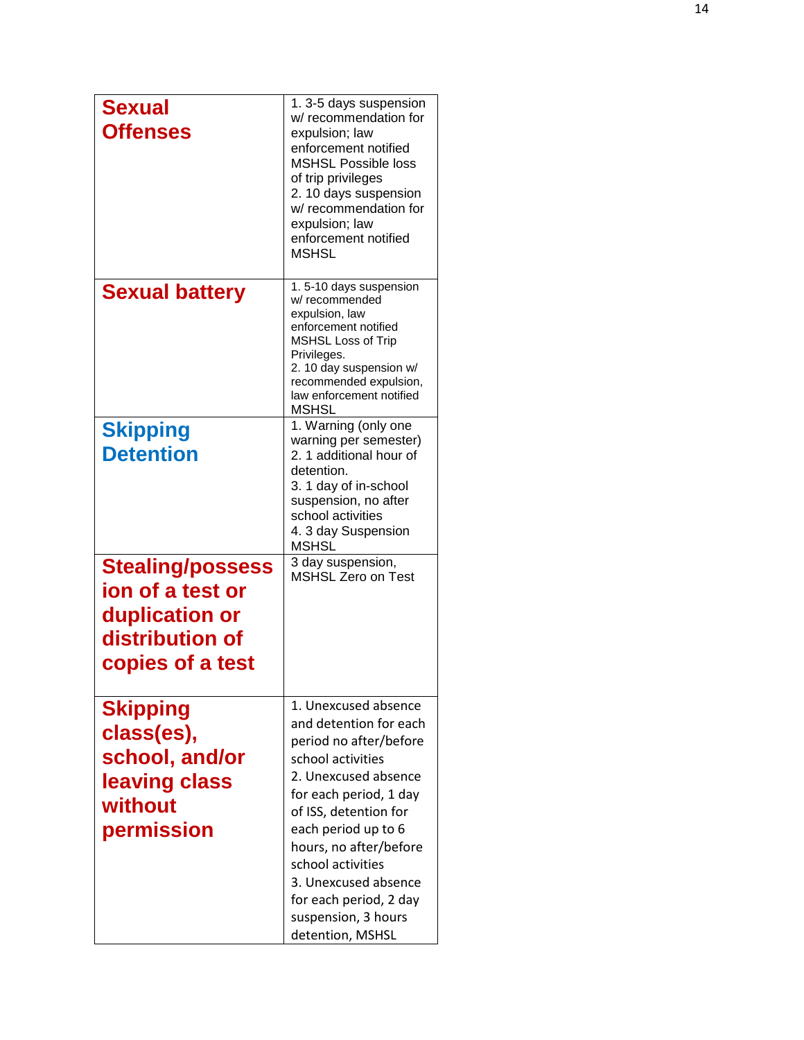| <b>Sexual</b><br><b>Offenses</b>                                                                     | 1.3-5 days suspension<br>w/ recommendation for<br>expulsion; law<br>enforcement notified<br><b>MSHSL Possible loss</b><br>of trip privileges<br>2. 10 days suspension<br>w/ recommendation for<br>expulsion; law<br>enforcement notified<br><b>MSHSL</b>                                                                                    |
|------------------------------------------------------------------------------------------------------|---------------------------------------------------------------------------------------------------------------------------------------------------------------------------------------------------------------------------------------------------------------------------------------------------------------------------------------------|
| <b>Sexual battery</b>                                                                                | 1.5-10 days suspension<br>w/recommended<br>expulsion, law<br>enforcement notified<br><b>MSHSL Loss of Trip</b><br>Privileges.<br>2. 10 day suspension w/<br>recommended expulsion,<br>law enforcement notified<br><b>MSHSL</b>                                                                                                              |
| <b>Skipping</b><br><b>Detention</b>                                                                  | 1. Warning (only one<br>warning per semester)<br>2. 1 additional hour of<br>detention.<br>3. 1 day of in-school<br>suspension, no after<br>school activities<br>4. 3 day Suspension<br><b>MSHSL</b>                                                                                                                                         |
| <b>Stealing/possess</b><br>ion of a test or<br>duplication or<br>distribution of<br>copies of a test | 3 day suspension,<br><b>MSHSL Zero on Test</b>                                                                                                                                                                                                                                                                                              |
| <b>Skipping</b><br>class(es),<br>school, and/or<br>leaving class<br>without<br>permission            | 1. Unexcused absence<br>and detention for each<br>period no after/before<br>school activities<br>2. Unexcused absence<br>for each period, 1 day<br>of ISS, detention for<br>each period up to 6<br>hours, no after/before<br>school activities<br>3. Unexcused absence<br>for each period, 2 day<br>suspension, 3 hours<br>detention, MSHSL |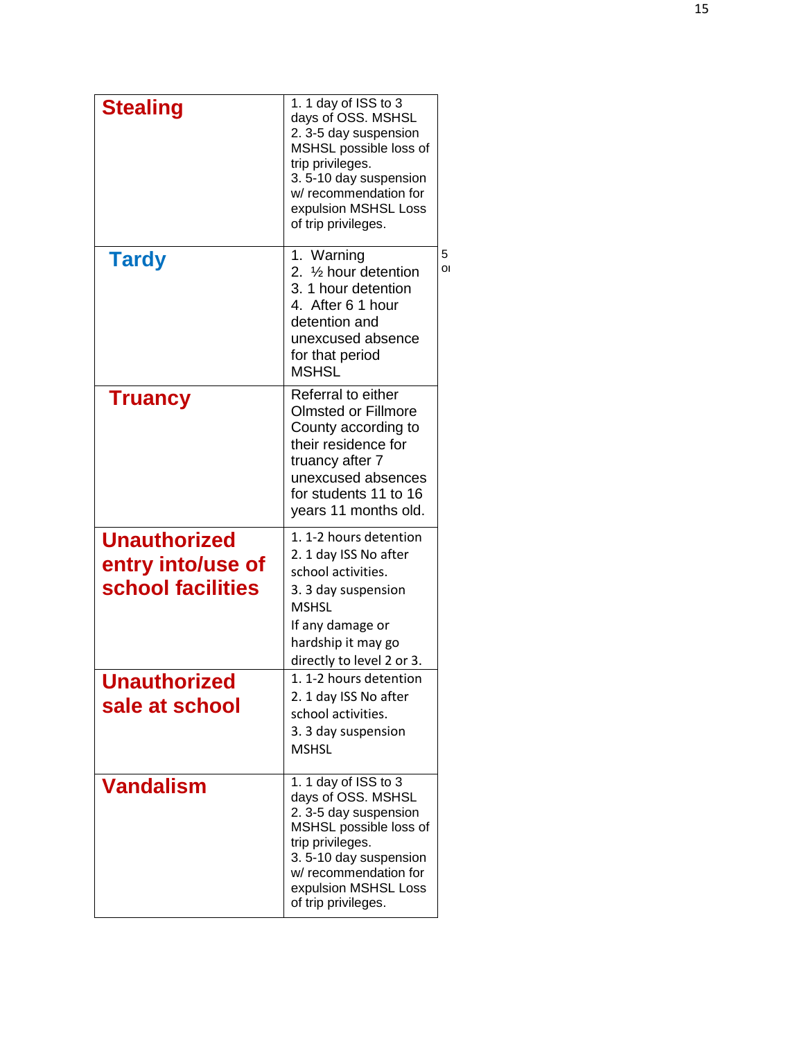| <b>Stealing</b>                                               | 1. 1 day of ISS to 3<br>days of OSS. MSHSL<br>2.3-5 day suspension<br>MSHSL possible loss of<br>trip privileges.<br>3.5-10 day suspension<br>w/ recommendation for<br>expulsion MSHSL Loss<br>of trip privileges. |         |
|---------------------------------------------------------------|-------------------------------------------------------------------------------------------------------------------------------------------------------------------------------------------------------------------|---------|
| <b>Tardy</b>                                                  | 1. Warning<br>2. 1/ <sub>2</sub> hour detention<br>3. 1 hour detention<br>4. After 6 1 hour<br>detention and<br>unexcused absence<br>for that period<br><b>MSHSL</b>                                              | 5<br>ΟI |
| <b>Truancy</b>                                                | Referral to either<br><b>Olmsted or Fillmore</b><br>County according to<br>their residence for<br>truancy after 7<br>unexcused absences<br>for students 11 to 16<br>years 11 months old.                          |         |
| <b>Unauthorized</b><br>entry into/use of<br>school facilities | 1.1-2 hours detention<br>2. 1 day ISS No after<br>school activities.<br>3. 3 day suspension<br><b>MSHSL</b><br>If any damage or<br>hardship it may go<br>directly to level 2 or 3.                                |         |
| <b>Unauthorized</b><br>sale at school                         | 1.1-2 hours detention<br>2. 1 day ISS No after<br>school activities.<br>3. 3 day suspension<br><b>MSHSL</b>                                                                                                       |         |
| <b>Vandalism</b>                                              | 1. 1 day of ISS to 3<br>days of OSS. MSHSL<br>2.3-5 day suspension<br>MSHSL possible loss of<br>trip privileges.<br>3.5-10 day suspension<br>w/ recommendation for<br>expulsion MSHSL Loss<br>of trip privileges. |         |